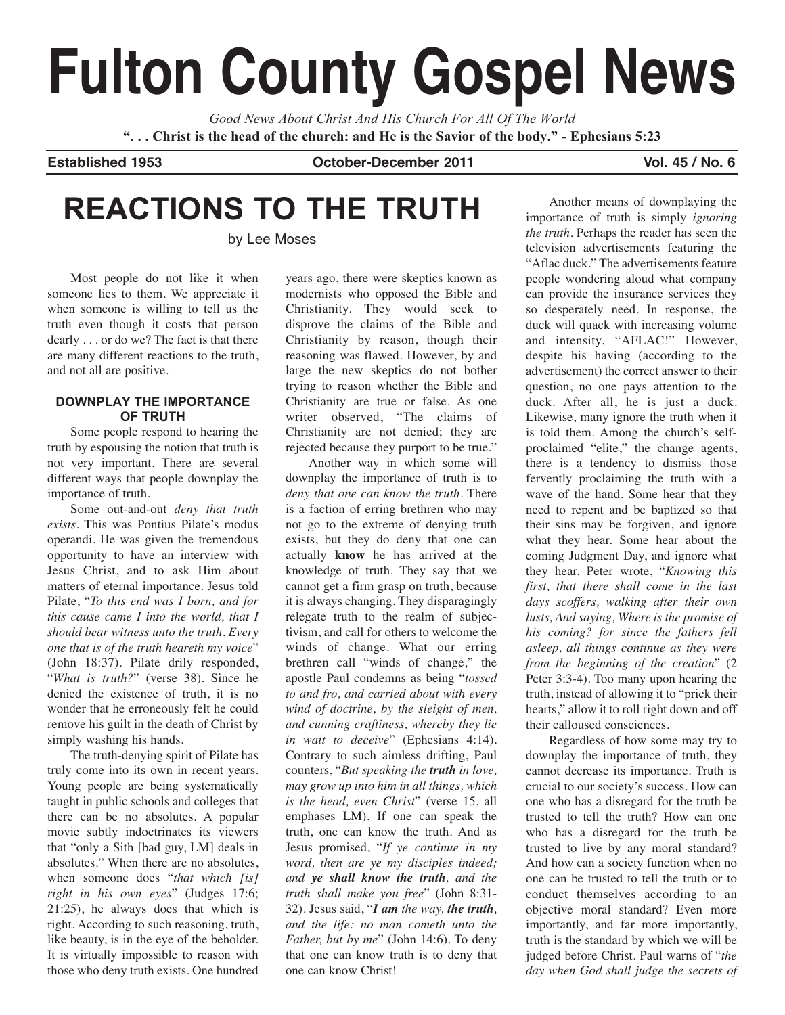# **Fulton County Gospel News**

*Good News About Christ And His Church For All Of The World* "... Christ is the head of the church: and He is the Savior of the body." - Ephesians 5:23

**Established 1953 October-December 2011 Vol. 45 / No. 6**

## **REACTIONS TO THE TRUTH**

by Lee Moses

Most people do not like it when someone lies to them. We appreciate it when someone is willing to tell us the truth even though it costs that person dearly . . . or do we? The fact is that there are many different reactions to the truth, and not all are positive.

#### **DOWNPLAY THE IMPORTANCE OF TRUTH**

Some people respond to hearing the truth by espousing the notion that truth is not very important. There are several different ways that people downplay the importance of truth.

Some out-and-out *deny that truth exists*. This was Pontius Pilate's modus operandi. He was given the tremendous opportunity to have an interview with Jesus Christ, and to ask Him about matters of eternal importance. Jesus told Pilate, "*To this end was I born, and for this cause came I into the world, that I should bear witness unto the truth. Every one that is of the truth heareth my voice*" (John 18:37). Pilate drily responded, "*What is truth?*" (verse 38). Since he denied the existence of truth, it is no wonder that he erroneously felt he could remove his guilt in the death of Christ by simply washing his hands.

The truth-denying spirit of Pilate has truly come into its own in recent years. Young people are being systematically taught in public schools and colleges that there can be no absolutes. A popular movie subtly indoctrinates its viewers that "only a Sith [bad guy, LM] deals in absolutes." When there are no absolutes, when someone does "*that which [is] right in his own eyes*" (Judges 17:6; 21:25), he always does that which is right. According to such reasoning, truth, like beauty, is in the eye of the beholder. It is virtually impossible to reason with those who deny truth exists. One hundred years ago, there were skeptics known as modernists who opposed the Bible and Christianity. They would seek to disprove the claims of the Bible and Christianity by reason, though their reasoning was flawed. However, by and large the new skeptics do not bother trying to reason whether the Bible and Christianity are true or false. As one writer observed, "The claims of Christianity are not denied; they are rejected because they purport to be true."

Another way in which some will downplay the importance of truth is to *deny that one can know the truth*. There is a faction of erring brethren who may not go to the extreme of denying truth exists, but they do deny that one can actually **know** he has arrived at the knowledge of truth. They say that we cannot get a firm grasp on truth, because it is always changing. They disparagingly relegate truth to the realm of subjectivism, and call for others to welcome the winds of change. What our erring brethren call "winds of change," the apostle Paul condemns as being "*tossed to and fro, and carried about with every wind of doctrine, by the sleight of men, and cunning craftiness, whereby they lie in wait to deceive*" (Ephesians 4:14). Contrary to such aimless drifting, Paul counters, "*But speaking the truth in love, may grow up into him in all things, which is the head, even Christ*" (verse 15, all emphases LM). If one can speak the truth, one can know the truth. And as Jesus promised, "*If ye continue in my word, then are ye my disciples indeed; and ye shall know the truth, and the truth shall make you free*" (John 8:31- 32). Jesus said, "*I am the way, the truth, and the life: no man cometh unto the Father, but by me*" (John 14:6). To deny that one can know truth is to deny that one can know Christ!

Another means of downplaying the importance of truth is simply *ignoring the truth*. Perhaps the reader has seen the television advertisements featuring the "Aflac duck." The advertisements feature people wondering aloud what company can provide the insurance services they so desperately need. In response, the duck will quack with increasing volume and intensity, "AFLAC!" However, despite his having (according to the advertisement) the correct answer to their question, no one pays attention to the duck. After all, he is just a duck. Likewise, many ignore the truth when it is told them. Among the church's selfproclaimed "elite," the change agents, there is a tendency to dismiss those fervently proclaiming the truth with a wave of the hand. Some hear that they need to repent and be baptized so that their sins may be forgiven, and ignore what they hear. Some hear about the coming Judgment Day, and ignore what they hear. Peter wrote, "*Knowing this first, that there shall come in the last days scoffers, walking after their own lusts, And saying, Where is the promise of his coming? for since the fathers fell asleep, all things continue as they were from the beginning of the creation*" (2 Peter 3:3-4). Too many upon hearing the truth, instead of allowing it to "prick their hearts," allow it to roll right down and off their calloused consciences.

Regardless of how some may try to downplay the importance of truth, they cannot decrease its importance. Truth is crucial to our society's success. How can one who has a disregard for the truth be trusted to tell the truth? How can one who has a disregard for the truth be trusted to live by any moral standard? And how can a society function when no one can be trusted to tell the truth or to conduct themselves according to an objective moral standard? Even more importantly, and far more importantly, truth is the standard by which we will be judged before Christ. Paul warns of "*the day when God shall judge the secrets of*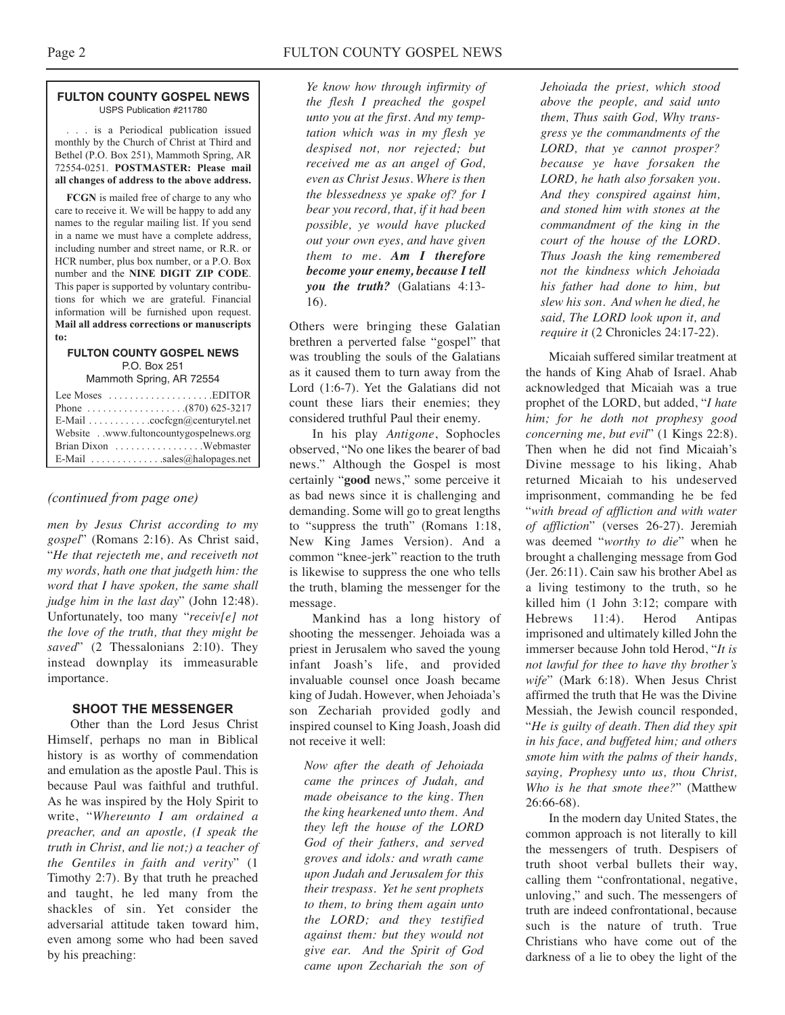#### **FULTON COUNTY GOSPEL NEWS** USPS Publication #211780

. . . is a Periodical publication issued monthly by the Church of Christ at Third and Bethel (P.O. Box 251), Mammoth Spring, AR 72554-0251. **POSTMASTER: Please mail all changes of address to the above address.**

**FCGN** is mailed free of charge to any who care to receive it. We will be happy to add any names to the regular mailing list. If you send in a name we must have a complete address, including number and street name, or R.R. or HCR number, plus box number, or a P.O. Box number and the **NINE DIGIT ZIP CODE**. This paper is supported by voluntary contributions for which we are grateful. Financial information will be furnished upon request. **Mail all address corrections or manuscripts to:**

#### **FULTON COUNTY GOSPEL NEWS** P.O. Box 251

Mammoth Spring, AR 72554

| Lee Moses $\dots \dots \dots \dots \dots$ . EDITOR           |
|--------------------------------------------------------------|
|                                                              |
| E-Mail $\ldots \ldots \ldots \ldots$ cocfcgn@centurytel.net  |
| Website . www.fultoncountygospelnews.org                     |
|                                                              |
| E-Mail $\ldots$ , $\ldots$ , $\ldots$ , sales @halopages.net |

#### *(continued from page one)*

*men by Jesus Christ according to my gospel*" (Romans 2:16). As Christ said, "*He that rejecteth me, and receiveth not my words, hath one that judgeth him: the word that I have spoken, the same shall judge him in the last day*" (John 12:48). Unfortunately, too many "*receiv[e] not the love of the truth, that they might be saved*" (2 Thessalonians 2:10). They instead downplay its immeasurable importance.

#### **SHOOT THE MESSENGER**

Other than the Lord Jesus Christ Himself, perhaps no man in Biblical history is as worthy of commendation and emulation as the apostle Paul. This is because Paul was faithful and truthful. As he was inspired by the Holy Spirit to write, "*Whereunto I am ordained a preacher, and an apostle, (I speak the truth in Christ, and lie not;) a teacher of the Gentiles in faith and verity*" (1 Timothy 2:7). By that truth he preached and taught, he led many from the shackles of sin. Yet consider the adversarial attitude taken toward him, even among some who had been saved by his preaching:

*Ye know how through infirmity of the flesh I preached the gospel unto you at the first. And my temptation which was in my flesh ye despised not, nor rejected; but received me as an angel of God, even as Christ Jesus. Where is then the blessedness ye spake of? for I bear you record, that, if it had been possible, ye would have plucked out your own eyes, and have given them to me. Am I therefore become your enemy, because I tell you the truth?* (Galatians 4:13- 16).

Others were bringing these Galatian brethren a perverted false "gospel" that was troubling the souls of the Galatians as it caused them to turn away from the Lord (1:6-7). Yet the Galatians did not count these liars their enemies; they considered truthful Paul their enemy.

In his play *Antigone*, Sophocles observed, "No one likes the bearer of bad news." Although the Gospel is most certainly "**good** news," some perceive it as bad news since it is challenging and demanding. Some will go to great lengths to "suppress the truth" (Romans 1:18, New King James Version). And a common "knee-jerk" reaction to the truth is likewise to suppress the one who tells the truth, blaming the messenger for the message.

Mankind has a long history of shooting the messenger. Jehoiada was a priest in Jerusalem who saved the young infant Joash's life, and provided invaluable counsel once Joash became king of Judah. However, when Jehoiada's son Zechariah provided godly and inspired counsel to King Joash, Joash did not receive it well:

*Now after the death of Jehoiada came the princes of Judah, and made obeisance to the king. Then the king hearkened unto them. And they left the house of the LORD God of their fathers, and served groves and idols: and wrath came upon Judah and Jerusalem for this their trespass. Yet he sent prophets to them, to bring them again unto the LORD; and they testified against them: but they would not give ear. And the Spirit of God came upon Zechariah the son of* *Jehoiada the priest, which stood above the people, and said unto them, Thus saith God, Why transgress ye the commandments of the LORD, that ye cannot prosper? because ye have forsaken the LORD, he hath also forsaken you. And they conspired against him, and stoned him with stones at the commandment of the king in the court of the house of the LORD. Thus Joash the king remembered not the kindness which Jehoiada his father had done to him, but slew his son. And when he died, he said, The LORD look upon it, and require it* (2 Chronicles 24:17-22).

Micaiah suffered similar treatment at the hands of King Ahab of Israel. Ahab acknowledged that Micaiah was a true prophet of the LORD, but added, "*I hate him; for he doth not prophesy good concerning me, but evil*" (1 Kings 22:8). Then when he did not find Micaiah's Divine message to his liking, Ahab returned Micaiah to his undeserved imprisonment, commanding he be fed "*with bread of affliction and with water of affliction*" (verses 26-27). Jeremiah was deemed "*worthy to die*" when he brought a challenging message from God (Jer. 26:11). Cain saw his brother Abel as a living testimony to the truth, so he killed him (1 John 3:12; compare with Hebrews 11:4). Herod Antipas imprisoned and ultimately killed John the immerser because John told Herod, "*It is not lawful for thee to have thy brother's wife*" (Mark 6:18). When Jesus Christ affirmed the truth that He was the Divine Messiah, the Jewish council responded, "*He is guilty of death. Then did they spit in his face, and buffeted him; and others smote him with the palms of their hands, saying, Prophesy unto us, thou Christ, Who is he that smote thee?*" (Matthew 26:66-68).

In the modern day United States, the common approach is not literally to kill the messengers of truth. Despisers of truth shoot verbal bullets their way, calling them "confrontational, negative, unloving," and such. The messengers of truth are indeed confrontational, because such is the nature of truth. True Christians who have come out of the darkness of a lie to obey the light of the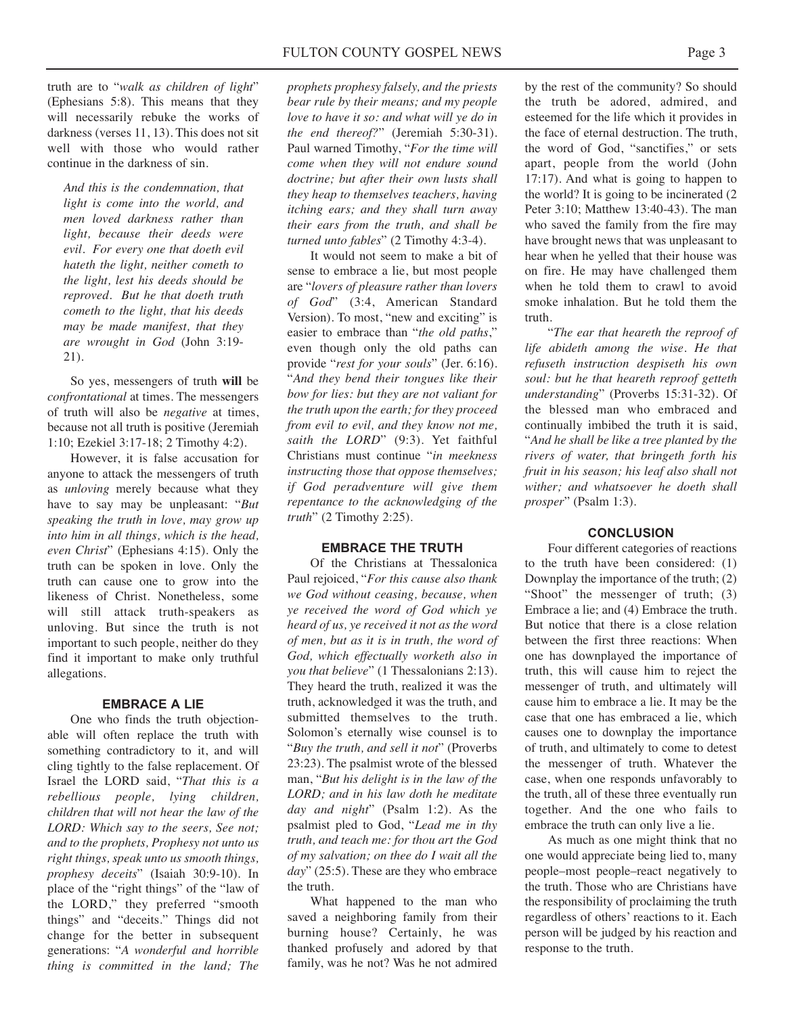truth are to "*walk as children of light*" (Ephesians 5:8). This means that they will necessarily rebuke the works of darkness (verses 11, 13). This does not sit well with those who would rather continue in the darkness of sin.

*And this is the condemnation, that light is come into the world, and men loved darkness rather than light, because their deeds were evil. For every one that doeth evil hateth the light, neither cometh to the light, lest his deeds should be reproved. But he that doeth truth cometh to the light, that his deeds may be made manifest, that they are wrought in God* (John 3:19- 21).

So yes, messengers of truth **will** be *confrontational* at times. The messengers of truth will also be *negative* at times, because not all truth is positive (Jeremiah 1:10; Ezekiel 3:17-18; 2 Timothy 4:2).

However, it is false accusation for anyone to attack the messengers of truth as *unloving* merely because what they have to say may be unpleasant: "*But speaking the truth in love, may grow up into him in all things, which is the head, even Christ*" (Ephesians 4:15). Only the truth can be spoken in love. Only the truth can cause one to grow into the likeness of Christ. Nonetheless, some will still attack truth-speakers as unloving. But since the truth is not important to such people, neither do they find it important to make only truthful allegations.

#### **EMBRACE A LIE**

One who finds the truth objectionable will often replace the truth with something contradictory to it, and will cling tightly to the false replacement. Of Israel the LORD said, "*That this is a rebellious people, lying children, children that will not hear the law of the LORD: Which say to the seers, See not; and to the prophets, Prophesy not unto us right things, speak unto us smooth things, prophesy deceits*" (Isaiah 30:9-10). In place of the "right things" of the "law of the LORD," they preferred "smooth things" and "deceits." Things did not change for the better in subsequent generations: "*A wonderful and horrible thing is committed in the land; The*

*prophets prophesy falsely, and the priests bear rule by their means; and my people love to have it so: and what will ye do in the end thereof?*" (Jeremiah 5:30-31). Paul warned Timothy, "*For the time will come when they will not endure sound doctrine; but after their own lusts shall they heap to themselves teachers, having itching ears; and they shall turn away their ears from the truth, and shall be turned unto fables*" (2 Timothy 4:3-4).

It would not seem to make a bit of sense to embrace a lie, but most people are "*lovers of pleasure rather than lovers of God*" (3:4, American Standard Version). To most, "new and exciting" is easier to embrace than "*the old paths*," even though only the old paths can provide "*rest for your souls*" (Jer. 6:16). "*And they bend their tongues like their bow for lies: but they are not valiant for the truth upon the earth; for they proceed from evil to evil, and they know not me, saith the LORD*" (9:3). Yet faithful Christians must continue "*in meekness instructing those that oppose themselves; if God peradventure will give them repentance to the acknowledging of the truth*" (2 Timothy 2:25).

#### **EMBRACE THE TRUTH**

Of the Christians at Thessalonica Paul rejoiced, "*For this cause also thank we God without ceasing, because, when ye received the word of God which ye heard of us, ye received it not as the word of men, but as it is in truth, the word of God, which effectually worketh also in you that believe*" (1 Thessalonians 2:13). They heard the truth, realized it was the truth, acknowledged it was the truth, and submitted themselves to the truth. Solomon's eternally wise counsel is to "*Buy the truth, and sell it not*" (Proverbs 23:23). The psalmist wrote of the blessed man, "*But his delight is in the law of the LORD; and in his law doth he meditate day and night*" (Psalm 1:2). As the psalmist pled to God, "*Lead me in thy truth, and teach me: for thou art the God of my salvation; on thee do I wait all the day*" (25:5). These are they who embrace the truth.

What happened to the man who saved a neighboring family from their burning house? Certainly, he was thanked profusely and adored by that family, was he not? Was he not admired

by the rest of the community? So should the truth be adored, admired, and esteemed for the life which it provides in the face of eternal destruction. The truth, the word of God, "sanctifies," or sets apart, people from the world (John 17:17). And what is going to happen to the world? It is going to be incinerated (2 Peter 3:10; Matthew 13:40-43). The man who saved the family from the fire may have brought news that was unpleasant to hear when he yelled that their house was on fire. He may have challenged them when he told them to crawl to avoid smoke inhalation. But he told them the truth.

"*The ear that heareth the reproof of life abideth among the wise. He that refuseth instruction despiseth his own soul: but he that heareth reproof getteth understanding*" (Proverbs 15:31-32). Of the blessed man who embraced and continually imbibed the truth it is said, "*And he shall be like a tree planted by the rivers of water, that bringeth forth his fruit in his season; his leaf also shall not wither; and whatsoever he doeth shall prosper*" (Psalm 1:3).

#### **CONCLUSION**

Four different categories of reactions to the truth have been considered: (1) Downplay the importance of the truth; (2) "Shoot" the messenger of truth; (3) Embrace a lie; and (4) Embrace the truth. But notice that there is a close relation between the first three reactions: When one has downplayed the importance of truth, this will cause him to reject the messenger of truth, and ultimately will cause him to embrace a lie. It may be the case that one has embraced a lie, which causes one to downplay the importance of truth, and ultimately to come to detest the messenger of truth. Whatever the case, when one responds unfavorably to the truth, all of these three eventually run together. And the one who fails to embrace the truth can only live a lie.

As much as one might think that no one would appreciate being lied to, many people–most people–react negatively to the truth. Those who are Christians have the responsibility of proclaiming the truth regardless of others' reactions to it. Each person will be judged by his reaction and response to the truth.